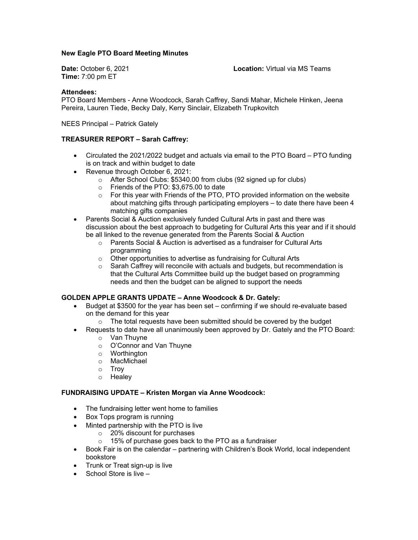## **New Eagle PTO Board Meeting Minutes**

**Time:** 7:00 pm ET

**Date:** October 6, 2021 **Location:** Virtual via MS Teams

#### **Attendees:**

PTO Board Members - Anne Woodcock, Sarah Caffrey, Sandi Mahar, Michele Hinken, Jeena Pereira, Lauren Tiede, Becky Daly, Kerry Sinclair, Elizabeth Trupkovitch

NEES Principal – Patrick Gately

#### **TREASURER REPORT – Sarah Caffrey:**

- Circulated the 2021/2022 budget and actuals via email to the PTO Board PTO funding is on track and within budget to date
- Revenue through October 6, 2021:
	- o After School Clubs: \$5340.00 from clubs (92 signed up for clubs)
	- o Friends of the PTO: \$3,675.00 to date
	- o For this year with Friends of the PTO, PTO provided information on the website about matching gifts through participating employers – to date there have been 4 matching gifts companies
- Parents Social & Auction exclusively funded Cultural Arts in past and there was discussion about the best approach to budgeting for Cultural Arts this year and if it should be all linked to the revenue generated from the Parents Social & Auction
	- o Parents Social & Auction is advertised as a fundraiser for Cultural Arts programming
	- $\circ$   $\;\;$  Other opportunities to advertise as fundraising for Cultural Arts
	- $\circ$  Sarah Caffrey will reconcile with actuals and budgets, but recommendation is that the Cultural Arts Committee build up the budget based on programming needs and then the budget can be aligned to support the needs

#### **GOLDEN APPLE GRANTS UPDATE – Anne Woodcock & Dr. Gately:**

- Budget at \$3500 for the year has been set confirming if we should re-evaluate based on the demand for this year
	- o The total requests have been submitted should be covered by the budget
- Requests to date have all unanimously been approved by Dr. Gately and the PTO Board:
	- o Van Thuyne
	- o O'Connor and Van Thuyne
	- o Worthington
	- o MacMichael
	- o Troy
	- o Healey

#### **FUNDRAISING UPDATE – Kristen Morgan via Anne Woodcock:**

- The fundraising letter went home to families
- Box Tops program is running
- Minted partnership with the PTO is live
	- o 20% discount for purchases
	- o 15% of purchase goes back to the PTO as a fundraiser
- Book Fair is on the calendar partnering with Children's Book World, local independent bookstore
- Trunk or Treat sign-up is live
- School Store is live –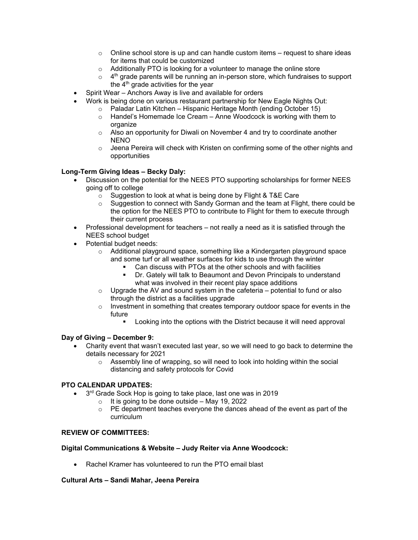- o Online school store is up and can handle custom items request to share ideas for items that could be customized
- o Additionally PTO is looking for a volunteer to manage the online store
- $\circ$  4<sup>th</sup> grade parents will be running an in-person store, which fundraises to support the  $4<sup>th</sup>$  grade activities for the year
- Spirit Wear Anchors Away is live and available for orders
- Work is being done on various restaurant partnership for New Eagle Nights Out:
	- o Paladar Latin Kitchen Hispanic Heritage Month (ending October 15)
		- o Handel's Homemade Ice Cream Anne Woodcock is working with them to organize
		- $\circ$  Also an opportunity for Diwali on November 4 and try to coordinate another NENO
		- $\circ$  Jeena Pereira will check with Kristen on confirming some of the other nights and opportunities

### **Long-Term Giving Ideas – Becky Daly:**

- Discussion on the potential for the NEES PTO supporting scholarships for former NEES going off to college
	- $\circ$  Suggestion to look at what is being done by Flight & T&E Care  $\circ$  Suggestion to connect with Sandy Gorman and the team at Flic
	- Suggestion to connect with Sandy Gorman and the team at Flight, there could be the option for the NEES PTO to contribute to Flight for them to execute through their current process
- Professional development for teachers not really a need as it is satisfied through the NEES school budget
- Potential budget needs:
	- o Additional playground space, something like a Kindergarten playground space and some turf or all weather surfaces for kids to use through the winter
		- Can discuss with PTOs at the other schools and with facilities
		- Dr. Gately will talk to Beaumont and Devon Principals to understand what was involved in their recent play space additions
	- $\circ$  Upgrade the AV and sound system in the cafeteria potential to fund or also through the district as a facilities upgrade
	- $\circ$  Investment in something that creates temporary outdoor space for events in the future
		- Looking into the options with the District because it will need approval

#### **Day of Giving – December 9:**

- Charity event that wasn't executed last year, so we will need to go back to determine the details necessary for 2021
	- $\circ$  Assembly line of wrapping, so will need to look into holding within the social distancing and safety protocols for Covid

#### **PTO CALENDAR UPDATES:**

- 3<sup>rd</sup> Grade Sock Hop is going to take place, last one was in 2019
	- o It is going to be done outside May 19, 2022<br>  $\circ$  PE department teaches everyone the dances
		- PE department teaches everyone the dances ahead of the event as part of the curriculum

## **REVIEW OF COMMITTEES:**

#### **Digital Communications & Website – Judy Reiter via Anne Woodcock:**

• Rachel Kramer has volunteered to run the PTO email blast

#### **Cultural Arts – Sandi Mahar, Jeena Pereira**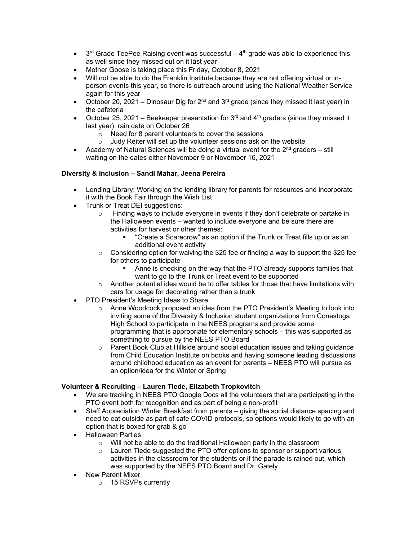- $3<sup>rd</sup>$  Grade TeePee Raising event was successful  $4<sup>th</sup>$  grade was able to experience this as well since they missed out on it last year
- Mother Goose is taking place this Friday, October 8, 2021
- Will not be able to do the Franklin Institute because they are not offering virtual or inperson events this year, so there is outreach around using the National Weather Service again for this year
- October 20, 2021 Dinosaur Dig for  $2^{nd}$  and  $3^{rd}$  grade (since they missed it last year) in the cafeteria
- October 25, 2021 Beekeeper presentation for  $3^{rd}$  and  $4^{th}$  graders (since they missed it last year), rain date on October 26
	- o Need for 8 parent volunteers to cover the sessions
	- $\circ$  Judy Reiter will set up the volunteer sessions ask on the website
- Academy of Natural Sciences will be doing a virtual event for the  $2<sup>nd</sup>$  graders still waiting on the dates either November 9 or November 16, 2021

## **Diversity & Inclusion – Sandi Mahar, Jeena Pereira**

- Lending Library: Working on the lending library for parents for resources and incorporate it with the Book Fair through the Wish List
- Trunk or Treat DEI suggestions:
	- $\circ$  Finding ways to include everyone in events if they don't celebrate or partake in the Halloween events – wanted to include everyone and be sure there are activities for harvest or other themes:
		- "Create a Scarecrow" as an option if the Trunk or Treat fills up or as an additional event activity
	- $\circ$  Considering option for waiving the \$25 fee or finding a way to support the \$25 fee for others to participate
		- Anne is checking on the way that the PTO already supports families that want to go to the Trunk or Treat event to be supported
	- $\circ$  Another potential idea would be to offer tables for those that have limitations with cars for usage for decorating rather than a trunk
- PTO President's Meeting Ideas to Share:
	- o Anne Woodcock proposed an idea from the PTO President's Meeting to look into inviting some of the Diversity & Inclusion student organizations from Conestoga High School to participate in the NEES programs and provide some programming that is appropriate for elementary schools – this was supported as something to pursue by the NEES PTO Board
	- $\circ$  Parent Book Club at Hillside around social education issues and taking guidance from Child Education Institute on books and having someone leading discussions around childhood education as an event for parents – NEES PTO will pursue as an option/idea for the Winter or Spring

# **Volunteer & Recruiting – Lauren Tiede, Elizabeth Tropkovitch**

- We are tracking in NEES PTO Google Docs all the volunteers that are participating in the PTO event both for recognition and as part of being a non-profit
- Staff Appreciation Winter Breakfast from parents giving the social distance spacing and need to eat outside as part of safe COVID protocols, so options would likely to go with an option that is boxed for grab & go
- Halloween Parties
	- o Will not be able to do the traditional Halloween party in the classroom
	- o Lauren Tiede suggested the PTO offer options to sponsor or support various activities in the classroom for the students or if the parade is rained out, which was supported by the NEES PTO Board and Dr. Gately
- New Parent Mixer
	- o 15 RSVPs currently